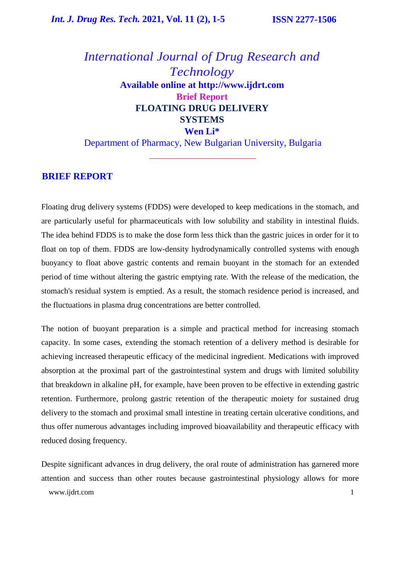## *International Journal of Drug Research and Technology* **Available online at [http://www.ijdrt.com](http://www.ijdrt.com/) Brief Report FLOATING DRUG DELIVERY SYSTEMS Wen Li\*** Department of Pharmacy, New Bulgarian University, Bulgaria

#### **BRIEF REPORT**

Floating drug delivery systems (FDDS) were developed to keep medications in the stomach, and are particularly useful for pharmaceuticals with low solubility and stability in intestinal fluids. The idea behind FDDS is to make the dose form less thick than the gastric juices in order for it to float on top of them. FDDS are low-density hydrodynamically controlled systems with enough buoyancy to float above gastric contents and remain buoyant in the stomach for an extended period of time without altering the gastric emptying rate. With the release of the medication, the stomach's residual system is emptied. As a result, the stomach residence period is increased, and the fluctuations in plasma drug concentrations are better controlled.

The notion of buoyant preparation is a simple and practical method for increasing stomach capacity. In some cases, extending the stomach retention of a delivery method is desirable for achieving increased therapeutic efficacy of the medicinal ingredient. Medications with improved absorption at the proximal part of the gastrointestinal system and drugs with limited solubility that breakdown in alkaline pH, for example, have been proven to be effective in extending gastric retention. Furthermore, prolong gastric retention of the therapeutic moiety for sustained drug delivery to the stomach and proximal small intestine in treating certain ulcerative conditions, and thus offer numerous advantages including improved bioavailability and therapeutic efficacy with reduced dosing frequency.

[www.ijdrt.com](http://www.ijdrt.com/) 1 Despite significant advances in drug delivery, the oral route of administration has garnered more attention and success than other routes because gastrointestinal physiology allows for more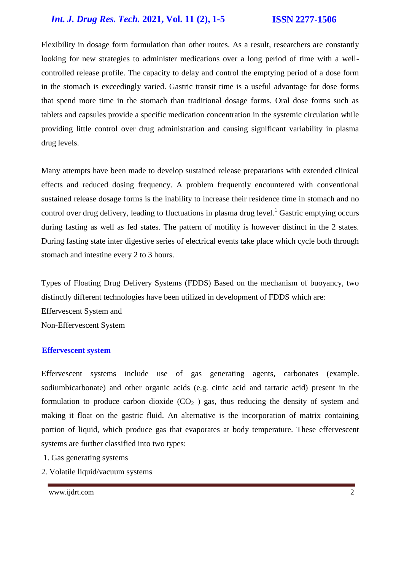## *Int. J. Drug Res. Tech.* **2021, Vol. 11 (2), 1-5 ISSN 2277-1506**

Flexibility in dosage form formulation than other routes. As a result, researchers are constantly looking for new strategies to administer medications over a long period of time with a wellcontrolled release profile. The capacity to delay and control the emptying period of a dose form in the stomach is exceedingly varied. Gastric transit time is a useful advantage for dose forms that spend more time in the stomach than traditional dosage forms. Oral dose forms such as tablets and capsules provide a specific medication concentration in the systemic circulation while providing little control over drug administration and causing significant variability in plasma drug levels.

Many attempts have been made to develop sustained release preparations with extended clinical effects and reduced dosing frequency. A problem frequently encountered with conventional sustained release dosage forms is the inability to increase their residence time in stomach and no control over drug delivery, leading to fluctuations in plasma drug level.<sup>1</sup> Gastric emptying occurs during fasting as well as fed states. The pattern of motility is however distinct in the 2 states. During fasting state inter digestive series of electrical events take place which cycle both through stomach and intestine every 2 to 3 hours.

Types of Floating Drug Delivery Systems (FDDS) Based on the mechanism of buoyancy, two distinctly different technologies have been utilized in development of FDDS which are: Effervescent System and Non-Effervescent System

#### **Effervescent system**

Effervescent systems include use of gas generating agents, carbonates (example. sodiumbicarbonate) and other organic acids (e.g. citric acid and tartaric acid) present in the formulation to produce carbon dioxide  $(CO<sub>2</sub>)$  gas, thus reducing the density of system and making it float on the gastric fluid. An alternative is the incorporation of matrix containing portion of liquid, which produce gas that evaporates at body temperature. These effervescent systems are further classified into two types:

- 1. Gas generating systems
- 2. Volatile liquid/vacuum systems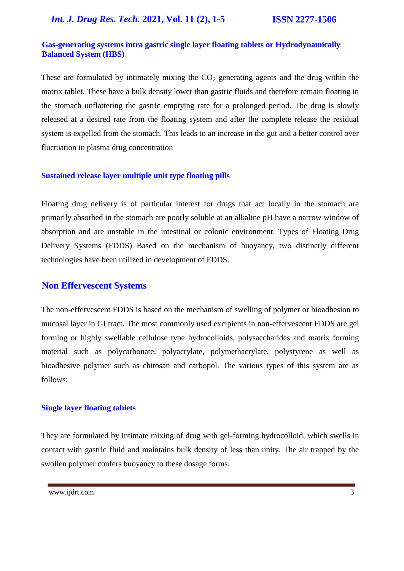### **Gas-generating systems intra gastric single layer floating tablets or Hydrodynamically Balanced System (HBS)**

These are formulated by intimately mixing the  $CO<sub>2</sub>$  generating agents and the drug within the matrix tablet. These have a bulk density lower than gastric fluids and therefore remain floating in the stomach unflattering the gastric emptying rate for a prolonged period. The drug is slowly released at a desired rate from the floating system and after the complete release the residual system is expelled from the stomach. This leads to an increase in the gut and a better control over fluctuation in plasma drug concentration

#### **Sustained release layer multiple unit type floating pills**

Floating drug delivery is of particular interest for drugs that act locally in the stomach are primarily absorbed in the stomach are poorly soluble at an alkaline pH have a narrow window of absorption and are unstable in the intestinal or colonic environment. Types of Floating Drug Delivery Systems (FDDS) Based on the mechanism of buoyancy, two distinctly different technologies have been utilized in development of FDDS.

### **Non Effervescent Systems**

The non-effervescent FDDS is based on the mechanism of swelling of polymer or bioadhesion to mucosal layer in GI tract. The most commonly used excipients in non-effervescent FDDS are gel forming or highly swellable cellulose type hydrocolloids, polysaccharides and matrix forming material such as polycarbonate, polyacrylate, polymethacrylate, polystyrene as well as bioadhesive polymer such as chitosan and carbopol. The various types of this system are as follows:

#### **Single layer floating tablets**

They are formulated by intimate mixing of drug with gel-forming hydrocolloid, which swells in contact with gastric fluid and maintains bulk density of less than unity. The air trapped by the swollen polymer confers buoyancy to these dosage forms.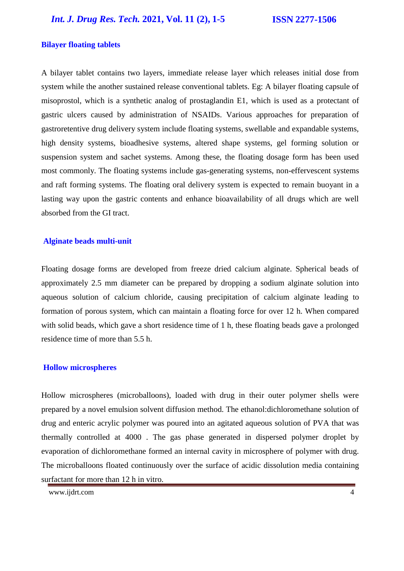*Int. J. Drug Res. Tech.* **2021, Vol. 11 (2), 1-5 ISSN 2277-1506**

#### **Bilayer floating tablets**

A bilayer tablet contains two layers, immediate release layer which releases initial dose from system while the another sustained release conventional tablets. Eg: A bilayer floating capsule of misoprostol, which is a synthetic analog of prostaglandin E1, which is used as a protectant of gastric ulcers caused by administration of NSAIDs. Various approaches for preparation of gastroretentive drug delivery system include floating systems, swellable and expandable systems, high density systems, bioadhesive systems, altered shape systems, gel forming solution or suspension system and sachet systems. Among these, the floating dosage form has been used most commonly. The floating systems include gas-generating systems, non-effervescent systems and raft forming systems. The floating oral delivery system is expected to remain buoyant in a lasting way upon the gastric contents and enhance bioavailability of all drugs which are well absorbed from the GI tract.

#### **Alginate beads multi-unit**

Floating dosage forms are developed from freeze dried calcium alginate. Spherical beads of approximately 2.5 mm diameter can be prepared by dropping a sodium alginate solution into aqueous solution of calcium chloride, causing precipitation of calcium alginate leading to formation of porous system, which can maintain a floating force for over 12 h. When compared with solid beads, which gave a short residence time of 1 h, these floating beads gave a prolonged residence time of more than 5.5 h.

#### **Hollow microspheres**

Hollow microspheres (microballoons), loaded with drug in their outer polymer shells were prepared by a novel emulsion solvent diffusion method. The ethanol:dichloromethane solution of drug and enteric acrylic polymer was poured into an agitated aqueous solution of PVA that was thermally controlled at 4000 . The gas phase generated in dispersed polymer droplet by evaporation of dichloromethane formed an internal cavity in microsphere of polymer with drug. The microballoons floated continuously over the surface of acidic dissolution media containing surfactant for more than 12 h in vitro.